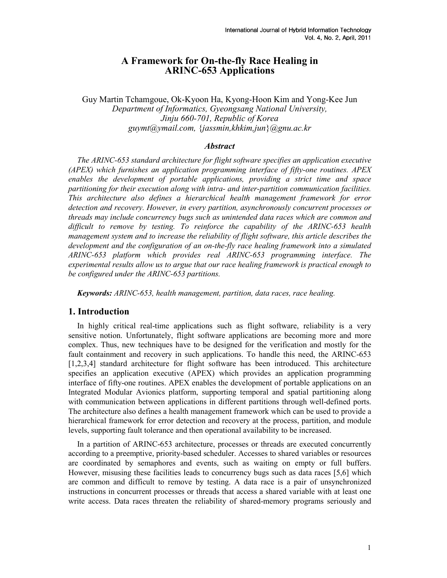# A Framework for On-the-fly Race Healing in ARINC-653 Applications

Guy Martin Tchamgoue, Ok-Kyoon Ha, Kyong-Hoon Kim and Yong-Kee Jun Department of Informatics, Gyeongsang National University, Jinju 660-701, Republic of Korea guymt@ymail.com, {jassmin,khkim,jun}@gnu.ac.kr

## **Abstract**

The ARINC-653 standard architecture for flight software specifies an application executive (APEX) which furnishes an application programming interface of fifty-one routines. APEX enables the development of portable applications, providing a strict time and space partitioning for their execution along with intra- and inter-partition communication facilities. This architecture also defines a hierarchical health management framework for error detection and recovery. However, in every partition, asynchronously concurrent processes or threads may include concurrency bugs such as unintended data races which are common and difficult to remove by testing. To reinforce the capability of the ARINC-653 health management system and to increase the reliability of flight software, this article describes the development and the configuration of an on-the-fly race healing framework into a simulated ARINC-653 platform which provides real ARINC-653 programming interface. The experimental results allow us to argue that our race healing framework is practical enough to be configured under the ARINC-653 partitions.

Keywords: ARINC-653, health management, partition, data races, race healing.

### 1. Introduction

In highly critical real-time applications such as flight software, reliability is a very sensitive notion. Unfortunately, flight software applications are becoming more and more complex. Thus, new techniques have to be designed for the verification and mostly for the fault containment and recovery in such applications. To handle this need, the ARINC-653 [1,2,3,4] standard architecture for flight software has been introduced. This architecture specifies an application executive (APEX) which provides an application programming interface of fifty-one routines. APEX enables the development of portable applications on an Integrated Modular Avionics platform, supporting temporal and spatial partitioning along with communication between applications in different partitions through well-defined ports. The architecture also defines a health management framework which can be used to provide a hierarchical framework for error detection and recovery at the process, partition, and module levels, supporting fault tolerance and then operational availability to be increased.

In a partition of ARINC-653 architecture, processes or threads are executed concurrently according to a preemptive, priority-based scheduler. Accesses to shared variables or resources are coordinated by semaphores and events, such as waiting on empty or full buffers. However, misusing these facilities leads to concurrency bugs such as data races [5,6] which are common and difficult to remove by testing. A data race is a pair of unsynchronized instructions in concurrent processes or threads that access a shared variable with at least one write access. Data races threaten the reliability of shared-memory programs seriously and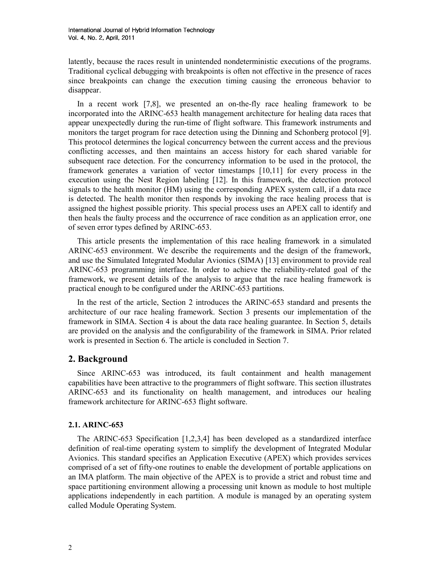latently, because the races result in unintended nondeterministic executions of the programs. Traditional cyclical debugging with breakpoints is often not effective in the presence of races since breakpoints can change the execution timing causing the erroneous behavior to disappear.

In a recent work [7,8], we presented an on-the-fly race healing framework to be incorporated into the ARINC-653 health management architecture for healing data races that appear unexpectedly during the run-time of flight software. This framework instruments and monitors the target program for race detection using the Dinning and Schonberg protocol [9]. This protocol determines the logical concurrency between the current access and the previous conflicting accesses, and then maintains an access history for each shared variable for subsequent race detection. For the concurrency information to be used in the protocol, the framework generates a variation of vector timestamps [10,11] for every process in the execution using the Nest Region labeling [12]. In this framework, the detection protocol signals to the health monitor (HM) using the corresponding APEX system call, if a data race is detected. The health monitor then responds by invoking the race healing process that is assigned the highest possible priority. This special process uses an APEX call to identify and then heals the faulty process and the occurrence of race condition as an application error, one of seven error types defined by ARINC-653.

This article presents the implementation of this race healing framework in a simulated ARINC-653 environment. We describe the requirements and the design of the framework, and use the Simulated Integrated Modular Avionics (SIMA) [13] environment to provide real ARINC-653 programming interface. In order to achieve the reliability-related goal of the framework, we present details of the analysis to argue that the race healing framework is practical enough to be configured under the ARINC-653 partitions.

In the rest of the article, Section 2 introduces the ARINC-653 standard and presents the architecture of our race healing framework. Section 3 presents our implementation of the framework in SIMA. Section 4 is about the data race healing guarantee. In Section 5, details are provided on the analysis and the configurability of the framework in SIMA. Prior related work is presented in Section 6. The article is concluded in Section 7.

## 2. Background

Since ARINC-653 was introduced, its fault containment and health management capabilities have been attractive to the programmers of flight software. This section illustrates ARINC-653 and its functionality on health management, and introduces our healing framework architecture for ARINC-653 flight software.

## 2.1. ARINC-653

The ARINC-653 Specification [1,2,3,4] has been developed as a standardized interface definition of real-time operating system to simplify the development of Integrated Modular Avionics. This standard specifies an Application Executive (APEX) which provides services comprised of a set of fifty-one routines to enable the development of portable applications on an IMA platform. The main objective of the APEX is to provide a strict and robust time and space partitioning environment allowing a processing unit known as module to host multiple applications independently in each partition. A module is managed by an operating system called Module Operating System.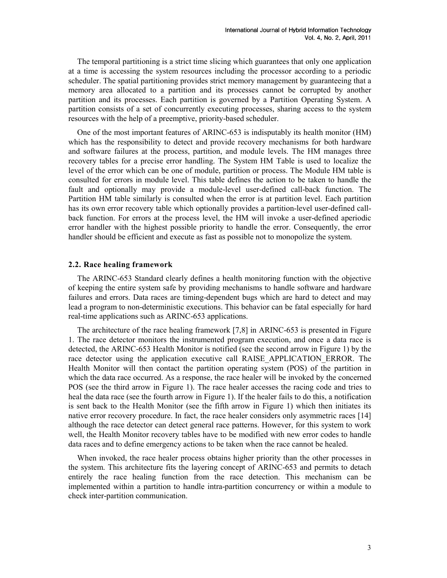The temporal partitioning is a strict time slicing which guarantees that only one application at a time is accessing the system resources including the processor according to a periodic scheduler. The spatial partitioning provides strict memory management by guaranteeing that a memory area allocated to a partition and its processes cannot be corrupted by another partition and its processes. Each partition is governed by a Partition Operating System. A partition consists of a set of concurrently executing processes, sharing access to the system resources with the help of a preemptive, priority-based scheduler.

One of the most important features of ARINC-653 is indisputably its health monitor (HM) which has the responsibility to detect and provide recovery mechanisms for both hardware and software failures at the process, partition, and module levels. The HM manages three recovery tables for a precise error handling. The System HM Table is used to localize the level of the error which can be one of module, partition or process. The Module HM table is consulted for errors in module level. This table defines the action to be taken to handle the fault and optionally may provide a module-level user-defined call-back function. The Partition HM table similarly is consulted when the error is at partition level. Each partition has its own error recovery table which optionally provides a partition-level user-defined callback function. For errors at the process level, the HM will invoke a user-defined aperiodic error handler with the highest possible priority to handle the error. Consequently, the error handler should be efficient and execute as fast as possible not to monopolize the system.

#### 2.2. Race healing framework

The ARINC-653 Standard clearly defines a health monitoring function with the objective of keeping the entire system safe by providing mechanisms to handle software and hardware failures and errors. Data races are timing-dependent bugs which are hard to detect and may lead a program to non-deterministic executions. This behavior can be fatal especially for hard real-time applications such as ARINC-653 applications.

The architecture of the race healing framework [7,8] in ARINC-653 is presented in Figure 1. The race detector monitors the instrumented program execution, and once a data race is detected, the ARINC-653 Health Monitor is notified (see the second arrow in Figure 1) by the race detector using the application executive call RAISE APPLICATION ERROR. The Health Monitor will then contact the partition operating system (POS) of the partition in which the data race occurred. As a response, the race healer will be invoked by the concerned POS (see the third arrow in Figure 1). The race healer accesses the racing code and tries to heal the data race (see the fourth arrow in Figure 1). If the healer fails to do this, a notification is sent back to the Health Monitor (see the fifth arrow in Figure 1) which then initiates its native error recovery procedure. In fact, the race healer considers only asymmetric races [14] although the race detector can detect general race patterns. However, for this system to work well, the Health Monitor recovery tables have to be modified with new error codes to handle data races and to define emergency actions to be taken when the race cannot be healed.

When invoked, the race healer process obtains higher priority than the other processes in the system. This architecture fits the layering concept of ARINC-653 and permits to detach entirely the race healing function from the race detection. This mechanism can be implemented within a partition to handle intra-partition concurrency or within a module to check inter-partition communication.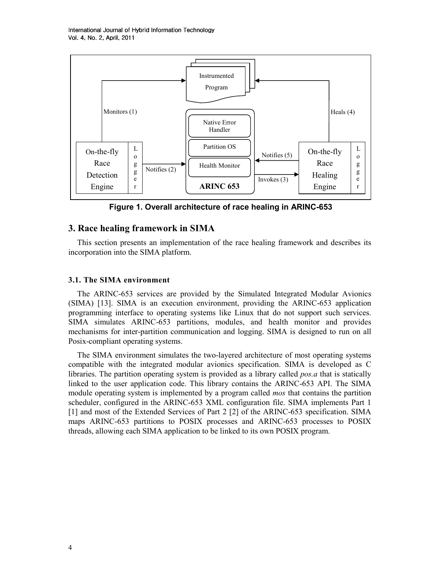

Figure 1. Overall architecture of race healing in ARINC-653

## 3. Race healing framework in SIMA

This section presents an implementation of the race healing framework and describes its incorporation into the SIMA platform.

#### 3.1. The SIMA environment

The ARINC-653 services are provided by the Simulated Integrated Modular Avionics (SIMA) [13]. SIMA is an execution environment, providing the ARINC-653 application programming interface to operating systems like Linux that do not support such services. SIMA simulates ARINC-653 partitions, modules, and health monitor and provides mechanisms for inter-partition communication and logging. SIMA is designed to run on all Posix-compliant operating systems.

The SIMA environment simulates the two-layered architecture of most operating systems compatible with the integrated modular avionics specification. SIMA is developed as C libraries. The partition operating system is provided as a library called  $pos.a$  that is statically linked to the user application code. This library contains the ARINC-653 API. The SIMA module operating system is implemented by a program called *mos* that contains the partition scheduler, configured in the ARINC-653 XML configuration file. SIMA implements Part 1 [1] and most of the Extended Services of Part 2 [2] of the ARINC-653 specification. SIMA maps ARINC-653 partitions to POSIX processes and ARINC-653 processes to POSIX threads, allowing each SIMA application to be linked to its own POSIX program.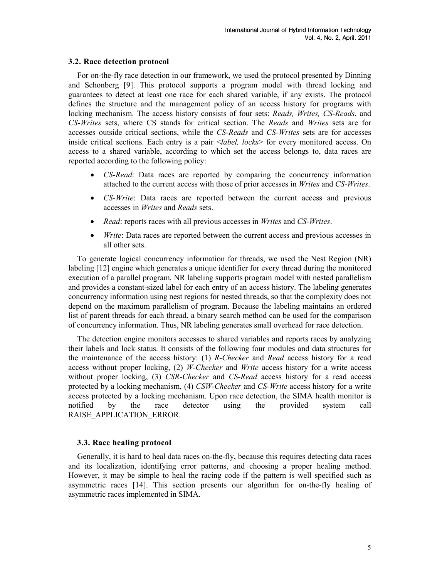### 3.2. Race detection protocol

For on-the-fly race detection in our framework, we used the protocol presented by Dinning and Schonberg [9]. This protocol supports a program model with thread locking and guarantees to detect at least one race for each shared variable, if any exists. The protocol defines the structure and the management policy of an access history for programs with locking mechanism. The access history consists of four sets: *Reads, Writes, CS-Reads*, and CS-Writes sets, where CS stands for critical section. The Reads and Writes sets are for accesses outside critical sections, while the CS-Reads and CS-Writes sets are for accesses inside critical sections. Each entry is a pair  $\leq$ label, locks> for every monitored access. On access to a shared variable, according to which set the access belongs to, data races are reported according to the following policy:

- *CS-Read:* Data races are reported by comparing the concurrency information attached to the current access with those of prior accesses in Writes and CS-Writes.
- CS-*Write*: Data races are reported between the current access and previous accesses in Writes and Reads sets.
- Read: reports races with all previous accesses in *Writes* and CS-*Writes*.
- *Write:* Data races are reported between the current access and previous accesses in all other sets.

To generate logical concurrency information for threads, we used the Nest Region (NR) labeling [12] engine which generates a unique identifier for every thread during the monitored execution of a parallel program. NR labeling supports program model with nested parallelism and provides a constant-sized label for each entry of an access history. The labeling generates concurrency information using nest regions for nested threads, so that the complexity does not depend on the maximum parallelism of program. Because the labeling maintains an ordered list of parent threads for each thread, a binary search method can be used for the comparison of concurrency information. Thus, NR labeling generates small overhead for race detection.

The detection engine monitors accesses to shared variables and reports races by analyzing their labels and lock status. It consists of the following four modules and data structures for the maintenance of the access history: (1) R-Checker and Read access history for a read access without proper locking, (2) *W-Checker* and *Write* access history for a write access without proper locking, (3) CSR-Checker and CS-Read access history for a read access protected by a locking mechanism, (4) CSW-Checker and CS-Write access history for a write access protected by a locking mechanism. Upon race detection, the SIMA health monitor is notified by the race detector using the provided system call RAISE\_APPLICATION\_ERROR.

#### 3.3. Race healing protocol

Generally, it is hard to heal data races on-the-fly, because this requires detecting data races and its localization, identifying error patterns, and choosing a proper healing method. However, it may be simple to heal the racing code if the pattern is well specified such as asymmetric races [14]. This section presents our algorithm for on-the-fly healing of asymmetric races implemented in SIMA.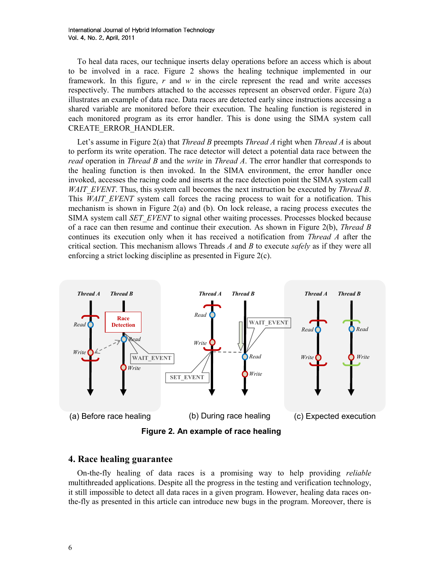To heal data races, our technique inserts delay operations before an access which is about to be involved in a race. Figure 2 shows the healing technique implemented in our framework. In this figure,  $r$  and  $w$  in the circle represent the read and write accesses respectively. The numbers attached to the accesses represent an observed order. Figure 2(a) illustrates an example of data race. Data races are detected early since instructions accessing a shared variable are monitored before their execution. The healing function is registered in each monitored program as its error handler. This is done using the SIMA system call CREATE\_ERROR\_HANDLER.

Let's assume in Figure 2(a) that *Thread B* preempts *Thread A* right when *Thread A* is about to perform its write operation. The race detector will detect a potential data race between the read operation in *Thread B* and the *write* in *Thread A*. The error handler that corresponds to the healing function is then invoked. In the SIMA environment, the error handler once invoked, accesses the racing code and inserts at the race detection point the SIMA system call WAIT\_EVENT. Thus, this system call becomes the next instruction be executed by *Thread B*. This *WAIT EVENT* system call forces the racing process to wait for a notification. This mechanism is shown in Figure 2(a) and (b). On lock release, a racing process executes the SIMA system call *SET EVENT* to signal other waiting processes. Processes blocked because of a race can then resume and continue their execution. As shown in Figure 2(b), Thread B continues its execution only when it has received a notification from *Thread A* after the critical section. This mechanism allows Threads  $A$  and  $B$  to execute safely as if they were all enforcing a strict locking discipline as presented in Figure 2(c).



Figure 2. An example of race healing

## 4. Race healing guarantee

On-the-fly healing of data races is a promising way to help providing reliable multithreaded applications. Despite all the progress in the testing and verification technology, it still impossible to detect all data races in a given program. However, healing data races onthe-fly as presented in this article can introduce new bugs in the program. Moreover, there is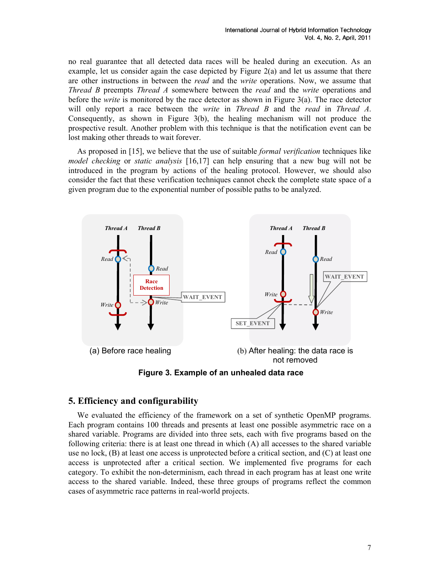no real guarantee that all detected data races will be healed during an execution. As an example, let us consider again the case depicted by Figure  $2(a)$  and let us assume that there are other instructions in between the *read* and the *write* operations. Now, we assume that Thread B preempts Thread A somewhere between the read and the write operations and before the write is monitored by the race detector as shown in Figure 3(a). The race detector will only report a race between the *write* in *Thread B* and the *read* in *Thread A*. Consequently, as shown in Figure 3(b), the healing mechanism will not produce the prospective result. Another problem with this technique is that the notification event can be lost making other threads to wait forever.

As proposed in [15], we believe that the use of suitable *formal verification* techniques like model checking or static analysis [16,17] can help ensuring that a new bug will not be introduced in the program by actions of the healing protocol. However, we should also consider the fact that these verification techniques cannot check the complete state space of a given program due to the exponential number of possible paths to be analyzed.



Figure 3. Example of an unhealed data race

## 5. Efficiency and configurability

We evaluated the efficiency of the framework on a set of synthetic OpenMP programs. Each program contains 100 threads and presents at least one possible asymmetric race on a shared variable. Programs are divided into three sets, each with five programs based on the following criteria: there is at least one thread in which (A) all accesses to the shared variable use no lock, (B) at least one access is unprotected before a critical section, and (C) at least one access is unprotected after a critical section. We implemented five programs for each category. To exhibit the non-determinism, each thread in each program has at least one write access to the shared variable. Indeed, these three groups of programs reflect the common cases of asymmetric race patterns in real-world projects.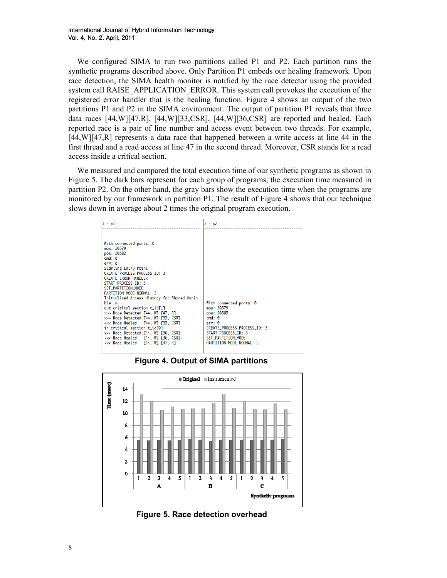We configured SIMA to run two partitions called P1 and P2. Each partition runs the synthetic programs described above. Only Partition P1 embeds our healing framework. Upon race detection, the SIMA health monitor is notified by the race detector using the provided system call RAISE\_APPLICATION\_ERROR. This system call provokes the execution of the registered error handler that is the healing function. Figure 4 shows an output of the two partitions P1 and P2 in the SIMA environment. The output of partition P1 reveals that three data races [44,W][47,R], [44,W][33,CSR], [44,W][36,CSR] are reported and healed. Each reported race is a pair of line number and access event between two threads. For example, [44,W][47,R] represents a data race that happened between a write access at line 44 in the first thread and a read access at line 47 in the second thread. Moreover, CSR stands for a read access inside a critical section. ograms described above. Only Partition P1 embeds our healing framework. Upon<br>on, the SIMA health monitor is notified by the race detector using the provided<br>RAISE\_APPLICATION\_ERROR. This system call provokes the execution s P1 and P2 in the SIMA environment. The output of partition P1 reveals that three<br>es [44,W][47,R], [44,W][33,CSR], [44,W][36,CSR] are reported and healed. Each<br>race is a pair of line number and access event between two th I SIMA to run two partitions called P1 and P2. Each partitins described above. Only Partition P1 embeds our healing frame e SIMA health monitor is notified by the race detector using the  $E$  APPLICATION\_ERROR. This system

We measured and compared the total execution time of our synthetic programs as shown in Figure 5. The dark bars represent for each group of programs, the execution time measured in partition P2. On the other hand, the gray bars show the execution time when the programs are partition P2. On the other hand, the gray bars show the execution time when the programs are monitored by our framework in partition P1. The result of Figure 4 shows that our technique slows down in average about 2 times the original program execution.

| $1 - p1$                                                                                                                                                                                                                                                                                                                                                                                                                                                                                                                                                                                         | $2 - p2$                                                                                                                                                                                  |
|--------------------------------------------------------------------------------------------------------------------------------------------------------------------------------------------------------------------------------------------------------------------------------------------------------------------------------------------------------------------------------------------------------------------------------------------------------------------------------------------------------------------------------------------------------------------------------------------------|-------------------------------------------------------------------------------------------------------------------------------------------------------------------------------------------|
| With connected ports: 0<br>mos: 20579<br>pos: 20582<br>$cmd: @$<br>err: 0<br>Starting Entry Point<br>CREATE_PROCESS PROCESS_ID: 3<br><b>CREATE ERROR HANDLER</b><br>START PROCESS ID: 3<br>SET_PARTITION_MODE<br>PARTITION MODE NORMAL: 3<br>Initialized Access History for Shared Varia<br>ble m<br>out critical section t_id[1]<br>>>> Race Detected [44, W] [47, R]<br>>>> Race Detected [44, W] [33, CSR]<br><<< Race Healed [44, W] [33, CSR]<br>in critical section t_id[0]<br>>>> Race Detected [44, W] [36, CSR]<br><<< Race Healed [44, W] [36, CSR]<br><<< Race Healed [44, W] [47, R] | With connected ports: 0<br>mos: 20579<br>pos: 20585<br>$cmd: 0$<br>err: 0<br>CREATE_PROCESS PROCESS_ID: 3<br>START PROCESS ID: 3<br><b>SET PARTITION MODE</b><br>PARTITION MODE NORMAL: 3 |

Figure 4. . Output of SIMA partitions



Figure 5 5. Race detection overhead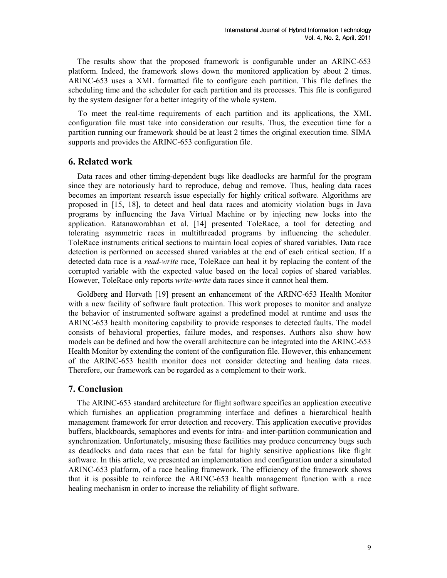The results show that the proposed framework is configurable under an ARINC-653 platform. Indeed, the framework slows down the monitored application by about 2 times. ARINC-653 uses a XML formatted file to configure each partition. This file defines the scheduling time and the scheduler for each partition and its processes. This file is configured by the system designer for a better integrity of the whole system.

 To meet the real-time requirements of each partition and its applications, the XML configuration file must take into consideration our results. Thus, the execution time for a partition running our framework should be at least 2 times the original execution time. SIMA supports and provides the ARINC-653 configuration file.

## 6. Related work

Data races and other timing-dependent bugs like deadlocks are harmful for the program since they are notoriously hard to reproduce, debug and remove. Thus, healing data races becomes an important research issue especially for highly critical software. Algorithms are proposed in [15, 18], to detect and heal data races and atomicity violation bugs in Java programs by influencing the Java Virtual Machine or by injecting new locks into the application. Ratanaworabhan et al. [14] presented ToleRace, a tool for detecting and tolerating asymmetric races in multithreaded programs by influencing the scheduler. ToleRace instruments critical sections to maintain local copies of shared variables. Data race detection is performed on accessed shared variables at the end of each critical section. If a detected data race is a *read-write* race, ToleRace can heal it by replacing the content of the corrupted variable with the expected value based on the local copies of shared variables. However, ToleRace only reports *write-write* data races since it cannot heal them.

Goldberg and Horvath [19] present an enhancement of the ARINC-653 Health Monitor with a new facility of software fault protection. This work proposes to monitor and analyze the behavior of instrumented software against a predefined model at runtime and uses the ARINC-653 health monitoring capability to provide responses to detected faults. The model consists of behavioral properties, failure modes, and responses. Authors also show how models can be defined and how the overall architecture can be integrated into the ARINC-653 Health Monitor by extending the content of the configuration file. However, this enhancement of the ARINC-653 health monitor does not consider detecting and healing data races. Therefore, our framework can be regarded as a complement to their work.

## 7. Conclusion

The ARINC-653 standard architecture for flight software specifies an application executive which furnishes an application programming interface and defines a hierarchical health management framework for error detection and recovery. This application executive provides buffers, blackboards, semaphores and events for intra- and inter-partition communication and synchronization. Unfortunately, misusing these facilities may produce concurrency bugs such as deadlocks and data races that can be fatal for highly sensitive applications like flight software. In this article, we presented an implementation and configuration under a simulated ARINC-653 platform, of a race healing framework. The efficiency of the framework shows that it is possible to reinforce the ARINC-653 health management function with a race healing mechanism in order to increase the reliability of flight software.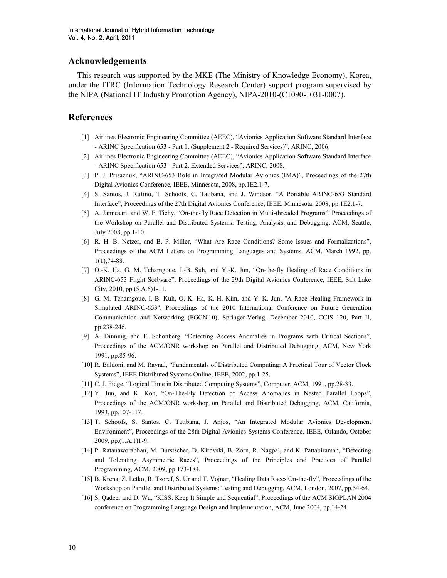## Acknowledgements

This research was supported by the MKE (The Ministry of Knowledge Economy), Korea, under the ITRC (Information Technology Research Center) support program supervised by the NIPA (National IT Industry Promotion Agency), NIPA-2010-(C1090-1031-0007).

## References

- [1] Airlines Electronic Engineering Committee (AEEC), "Avionics Application Software Standard Interface - ARINC Specification 653 - Part 1. (Supplement 2 - Required Services)", ARINC, 2006.
- [2] Airlines Electronic Engineering Committee (AEEC), "Avionics Application Software Standard Interface - ARINC Specification 653 - Part 2. Extended Services", ARINC, 2008.
- [3] P. J. Prisaznuk, "ARINC-653 Role in Integrated Modular Avionics (IMA)", Proceedings of the 27th Digital Avionics Conference, IEEE, Minnesota, 2008, pp.1E2.1-7.
- [4] S. Santos, J. Rufino, T. Schoofs, C. Tatibana, and J. Windsor, "A Portable ARINC-653 Standard Interface", Proceedings of the 27th Digital Avionics Conference, IEEE, Minnesota, 2008, pp.1E2.1-7.
- [5] A. Jannesari, and W. F. Tichy, "On-the-fly Race Detection in Multi-threaded Programs", Proceedings of the Workshop on Parallel and Distributed Systems: Testing, Analysis, and Debugging, ACM, Seattle, July 2008, pp.1-10.
- [6] R. H. B. Netzer, and B. P. Miller, "What Are Race Conditions? Some Issues and Formalizations", Proceedings of the ACM Letters on Programming Languages and Systems, ACM, March 1992, pp. 1(1),74-88.
- [7] O.-K. Ha, G. M. Tchamgoue, J.-B. Suh, and Y.-K. Jun, "On-the-fly Healing of Race Conditions in ARINC-653 Flight Software", Proceedings of the 29th Digital Avionics Conference, IEEE, Salt Lake City, 2010, pp.(5.A.6)1-11.
- [8] G. M. Tchamgoue, I.-B. Kuh, O.-K. Ha, K.-H. Kim, and Y.-K. Jun, "A Race Healing Framework in Simulated ARINC-653", Proceedings of the 2010 International Conference on Future Generation Communication and Networking (FGCN'10), Springer-Verlag, December 2010, CCIS 120, Part II, pp.238-246.
- [9] A. Dinning, and E. Schonberg, "Detecting Access Anomalies in Programs with Critical Sections", Proceedings of the ACM/ONR workshop on Parallel and Distributed Debugging, ACM, New York 1991, pp.85-96.
- [10] R. Baldoni, and M. Raynal, "Fundamentals of Distributed Computing: A Practical Tour of Vector Clock Systems", IEEE Distributed Systems Online, IEEE, 2002, pp.1-25.
- [11] C. J. Fidge, "Logical Time in Distributed Computing Systems", Computer, ACM, 1991, pp.28-33.
- [12] Y. Jun, and K. Koh, "On-The-Fly Detection of Access Anomalies in Nested Parallel Loops", Proceedings of the ACM/ONR workshop on Parallel and Distributed Debugging, ACM, California, 1993, pp.107-117.
- [13] T. Schoofs, S. Santos, C. Tatibana, J. Anjos, "An Integrated Modular Avionics Development Environment", Proceedings of the 28th Digital Avionics Systems Conference, IEEE, Orlando, October 2009, pp.(1.A.1)1-9.
- [14] P. Ratanaworabhan, M. Burstscher, D. Kirovski, B. Zorn, R. Nagpal, and K. Pattabiraman, "Detecting and Tolerating Asymmetric Races", Proceedings of the Principles and Practices of Parallel Programming, ACM, 2009, pp.173-184.
- [15] B. Krena, Z. Letko, R. Tzoref, S. Ur and T. Vojnar, "Healing Data Races On-the-fly", Proceedings of the Workshop on Parallel and Distributed Systems: Testing and Debugging, ACM, London, 2007, pp.54-64.
- [16] S. Qadeer and D. Wu, "KISS: Keep It Simple and Sequential", Proceedings of the ACM SIGPLAN 2004 conference on Programming Language Design and Implementation, ACM, June 2004, pp.14-24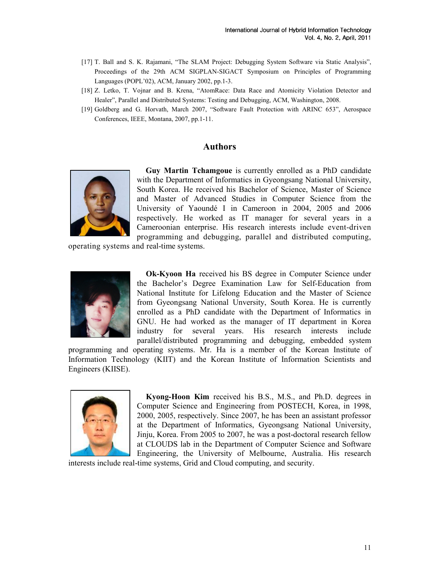- [17] T. Ball and S. K. Rajamani, "The SLAM Project: Debugging System Software via Static Analysis", Proceedings of the 29th ACM SIGPLAN-SIGACT Symposium on Principles of Programming Languages (POPL'02), ACM, January 2002, pp.1-3.
- [18] Z. Letko, T. Vojnar and B. Krena, "AtomRace: Data Race and Atomicity Violation Detector and Healer", Parallel and Distributed Systems: Testing and Debugging, ACM, Washington, 2008.
- [19] Goldberg and G. Horvath, March 2007, "Software Fault Protection with ARINC 653", Aerospace Conferences, IEEE, Montana, 2007, pp.1-11.

## Authors



Guy Martin Tchamgoue is currently enrolled as a PhD candidate with the Department of Informatics in Gyeongsang National University, South Korea. He received his Bachelor of Science, Master of Science and Master of Advanced Studies in Computer Science from the University of Yaoundé I in Cameroon in 2004, 2005 and 2006 respectively. He worked as IT manager for several years in a Cameroonian enterprise. His research interests include event-driven programming and debugging, parallel and distributed computing,

operating systems and real-time systems.



Ok-Kyoon Ha received his BS degree in Computer Science under the Bachelor's Degree Examination Law for Self-Education from National Institute for Lifelong Education and the Master of Science from Gyeongsang National Unversity, South Korea. He is currently enrolled as a PhD candidate with the Department of Informatics in GNU. He had worked as the manager of IT department in Korea industry for several years. His research interests include parallel/distributed programming and debugging, embedded system

programming and operating systems. Mr. Ha is a member of the Korean Institute of Information Technology (KIIT) and the Korean Institute of Information Scientists and Engineers (KIISE).



Kyong-Hoon Kim received his B.S., M.S., and Ph.D. degrees in Computer Science and Engineering from POSTECH, Korea, in 1998, 2000, 2005, respectively. Since 2007, he has been an assistant professor at the Department of Informatics, Gyeongsang National University, Jinju, Korea. From 2005 to 2007, he was a post-doctoral research fellow at CLOUDS lab in the Department of Computer Science and Software Engineering, the University of Melbourne, Australia. His research

interests include real-time systems, Grid and Cloud computing, and security.